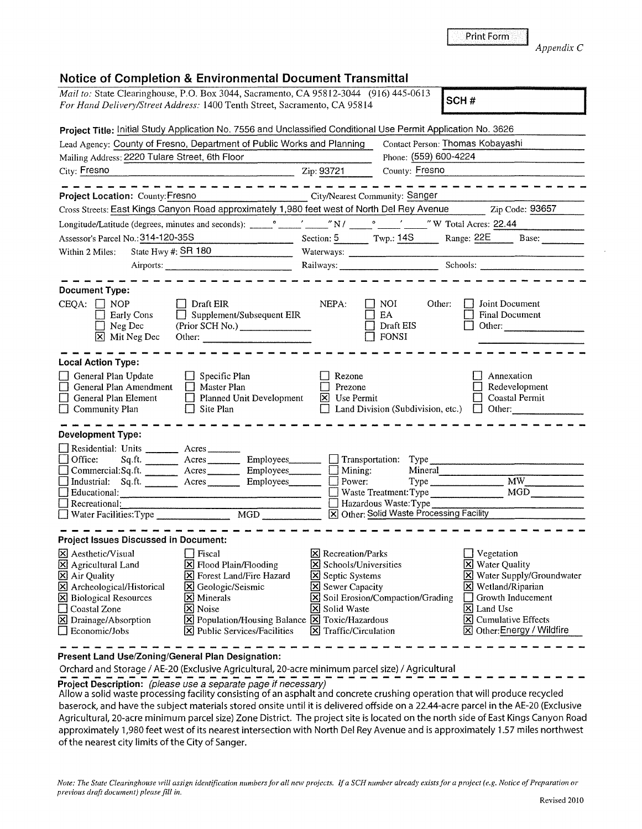| Note: The State Clearinghouse will assign identification numbers for all new projects. If a SCH number already exists for a project (e.g. Notice of Preparation or |              |
|--------------------------------------------------------------------------------------------------------------------------------------------------------------------|--------------|
| previous draft document) please fill in.                                                                                                                           |              |
|                                                                                                                                                                    | Revised 2010 |
|                                                                                                                                                                    |              |

 $[\overline{\mathsf{x}}]$  Cumulative Effects **[X]** Other: Energy / Wildfire

[?\$] Land Use

|                                                                                                                                                                    | <b>Notice of Completion &amp; Environmental Document Transmittal</b>                                                                                                                                      |                                                                                                                                                                          |                                                |                                                                                                                        |
|--------------------------------------------------------------------------------------------------------------------------------------------------------------------|-----------------------------------------------------------------------------------------------------------------------------------------------------------------------------------------------------------|--------------------------------------------------------------------------------------------------------------------------------------------------------------------------|------------------------------------------------|------------------------------------------------------------------------------------------------------------------------|
| Mail to: State Clearinghouse, P.O. Box 3044, Sacramento, CA 95812-3044 (916) 445-0613<br>For Hand Delivery/Street Address: 1400 Tenth Street, Sacramento, CA 95814 |                                                                                                                                                                                                           |                                                                                                                                                                          |                                                | SCH#                                                                                                                   |
|                                                                                                                                                                    | Project Title: Initial Study Application No. 7556 and Unclassified Conditional Use Permit Application No. 3626                                                                                            |                                                                                                                                                                          |                                                |                                                                                                                        |
|                                                                                                                                                                    | Lead Agency: County of Fresno, Department of Public Works and Planning                                                                                                                                    |                                                                                                                                                                          |                                                | Contact Person: Thomas Kobayashi                                                                                       |
| Mailing Address: 2220 Tulare Street, 6th Floor                                                                                                                     |                                                                                                                                                                                                           |                                                                                                                                                                          | Phone: (559) 600-4224                          |                                                                                                                        |
| City: Fresno                                                                                                                                                       | $\overline{2ip:}\frac{93721}{p}$                                                                                                                                                                          |                                                                                                                                                                          | County: Fresno                                 |                                                                                                                        |
| Project Location: County: Fresno                                                                                                                                   | ------------------<br>City/Nearest Community: Sanger                                                                                                                                                      |                                                                                                                                                                          |                                                | -----------                                                                                                            |
|                                                                                                                                                                    |                                                                                                                                                                                                           |                                                                                                                                                                          |                                                | Cross Streets: East Kings Canyon Road approximately 1,980 feet west of North Del Rey Avenue Zip Code: 93657            |
|                                                                                                                                                                    |                                                                                                                                                                                                           |                                                                                                                                                                          |                                                |                                                                                                                        |
| Assessor's Parcel No.: 314-120-35S                                                                                                                                 |                                                                                                                                                                                                           |                                                                                                                                                                          |                                                | Section: 5 Twp.: 14S Range: 22E Base:                                                                                  |
| Within 2 Miles:                                                                                                                                                    | State Hwy #: SR 180                                                                                                                                                                                       |                                                                                                                                                                          |                                                |                                                                                                                        |
|                                                                                                                                                                    |                                                                                                                                                                                                           |                                                                                                                                                                          |                                                | Railways: Schools: Schools:                                                                                            |
|                                                                                                                                                                    |                                                                                                                                                                                                           |                                                                                                                                                                          |                                                |                                                                                                                        |
| <b>Document Type:</b>                                                                                                                                              |                                                                                                                                                                                                           |                                                                                                                                                                          |                                                |                                                                                                                        |
| $CEQA: \Box NOP$<br>$\Box$ Early Cons<br>$\Box$ Neg Dec<br>X Mit Neg Dec                                                                                           | $\Box$ Draft EIR<br>$\Box$ Supplement/Subsequent EIR<br>(Prior SCH No.)<br>Other:                                                                                                                         | NEPA:                                                                                                                                                                    | NOI.<br>EA<br>$\Box$ Draft EIS<br>$\Box$ FONSI | Other:<br>Joint Document<br><b>Final Document</b><br>$\Box$ Other:                                                     |
| <b>Local Action Type:</b>                                                                                                                                          |                                                                                                                                                                                                           |                                                                                                                                                                          |                                                |                                                                                                                        |
| General Plan Update<br>$\Box$<br>General Plan Amendment<br>$\Box$ General Plan Element<br>$\Box$ Community Plan                                                    | $\Box$ Specific Plan<br>$\Box$ Master Plan<br>$\Box$ Planned Unit Development<br>$\Box$ Site Plan                                                                                                         | Rezone<br>$\Box$<br>Prezone<br>$\boxtimes$ Use Permit                                                                                                                    |                                                | Annexation<br>Redevelopment<br>Coastal Permit<br>□ Land Division (Subdivision, etc.) □ Other:                          |
| <b>Development Type:</b>                                                                                                                                           |                                                                                                                                                                                                           |                                                                                                                                                                          |                                                |                                                                                                                        |
| Residential: Units _______ Acres _______<br>Office:<br>$\Box$<br>$\Box$ Educational: $\Box$<br>$\Box$ Recreational:                                                | Sq.ft. Acres Employees Transportation: Type<br>$Commetrical:$ Sq.ft. $\overline{\qquad}$ Acres $\overline{\qquad}$ Employees $\Box$ Mining:<br>Industrial: Sq.ft. _______ Acres ________ Employees_______ | $\Box$ Power:                                                                                                                                                            | Hazardous Waste: Type                          | Mineral<br>Waste Treatment: Type MGD<br>X Other: Solid Waste Processing Facility                                       |
|                                                                                                                                                                    |                                                                                                                                                                                                           |                                                                                                                                                                          |                                                |                                                                                                                        |
| <b>Project Issues Discussed in Document:</b>                                                                                                                       |                                                                                                                                                                                                           |                                                                                                                                                                          |                                                |                                                                                                                        |
| X Aesthetic/Visual<br>X Agricultural Land<br>$\boxtimes$ Air Quality<br>$\boxtimes$ Archeological/Historical<br>$\boxtimes$ Biological Resources                   | Fiscal<br>X Flood Plain/Flooding<br>$\boxed{\times}$ Forest Land/Fire Hazard<br>S Geologic/Seismic<br>$\boxed{\mathsf{X}}$ Minerals                                                                       | $\vert\mathsf{X}\vert$ Recreation/Parks<br>$ \mathsf{X} $ Schools/Universities<br>Septic Systems<br>Sewer Capacity<br>$\boxtimes$ Soil Erosion/Compaction/Grading $\Box$ |                                                | $\Box$ Vegetation<br><b>X</b> Water Quality<br>X Water Supply/Groundwater<br>$X$ Wetland/Riparian<br>Growth Inducement |

**Present Land Use/Zoning/General Plan Designation:** 

□ Coastal Zone<br>**[X]** Drainage/Absorption

Orchard and Storage/ AE-20 (Exclusive Agricultural, 20-acre minimum parcel size)/ Agricultural

 $\boxed{\boxtimes}$  Drainage/Absorption  $\boxed{\boxtimes}$  Population/Housing Balance  $\boxed{\boxtimes}$  Toxic/Hazardous  $\boxed{\boxtimes}$  Economic/Jobs  $\boxed{\boxtimes}$  Public Services/Facilities  $\boxed{\boxtimes}$  Traffic/Circulation  $\boxed{\mathbf{X}}$  Public Services/Facilities

**Project Description:** (please use a separate page if necessary)

Allow a solid waste processing facility consisting of an asphalt and concrete crushing operation that will produce recycled baserock, and have the subject materials stored onsite until it is delivered offside on a 22.44-acre parcel in the AE-20 (Exclusive Agricultural, 20-acre minimum parcel size) Zone District. The project site is located on the north side of East Kings Canyon Road approximately 1,980 feet west of its nearest intersection with North Del Rey Avenue and is approximately 1.57 miles northwest of the nearest city limits of the City of Sanger.

**E** Minerals **EX** Soil Erosion/Compaction/Grading **[XI]** Noise **18** Solid Waste

*Appendix* C

|  |  | تتناوب والمتناسب والمتحامل |
|--|--|----------------------------|
|  |  |                            |
|  |  |                            |
|  |  |                            |

| <i>For Hand Delivery/Street Address:</i> 1400 Tenth Street, Sacramento, CA 95814                        | $\vert$ SCH #          |
|---------------------------------------------------------------------------------------------------------|------------------------|
| Project Title: Initial Study Application No. 7556 and Unclassified Conditional Use Permit Application I |                        |
| Lead Agency: County of Froeno, Donartment of Public Works and Planning                                  | Contact Dessens Thomas |

Print Form